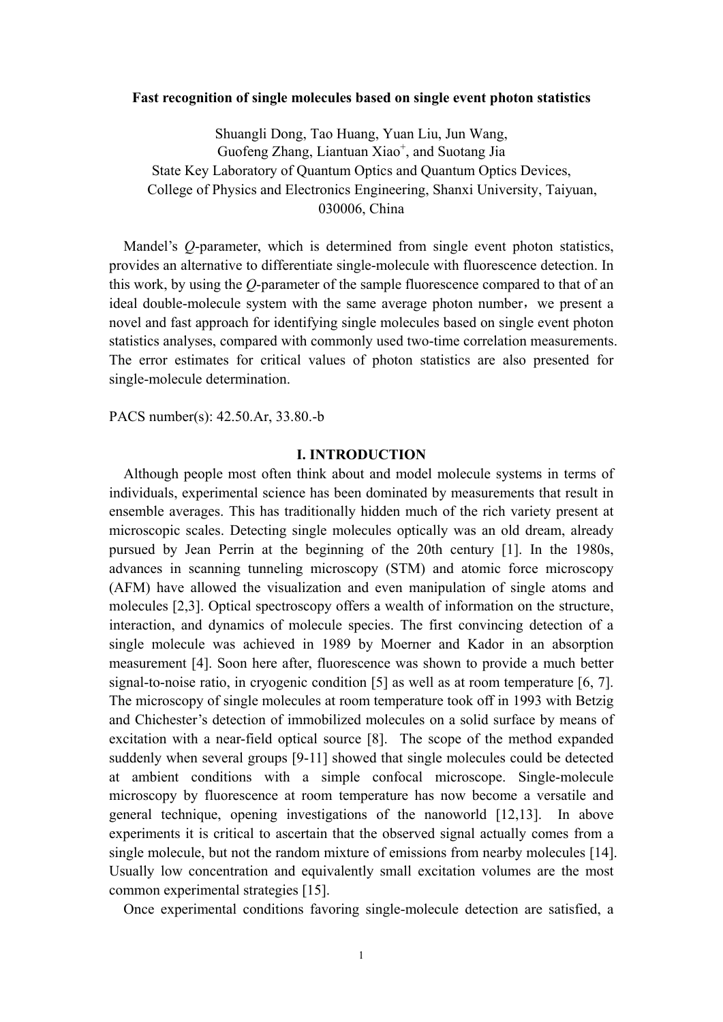#### **Fast recognition of single molecules based on single event photon statistics**

Shuangli Dong, Tao Huang, Yuan Liu, Jun Wang, Guofeng Zhang, Liantuan Xiao<sup>+</sup>, and Suotang Jia State Key Laboratory of Quantum Optics and Quantum Optics Devices, College of Physics and Electronics Engineering, Shanxi University, Taiyuan, 030006, China

 Mandel's *Q*-parameter, which is determined from single event photon statistics, provides an alternative to differentiate single-molecule with fluorescence detection. In this work, by using the *Q*-parameter of the sample fluorescence compared to that of an ideal double-molecule system with the same average photon number, we present a novel and fast approach for identifying single molecules based on single event photon statistics analyses, compared with commonly used two-time correlation measurements. The error estimates for critical values of photon statistics are also presented for single-molecule determination.

PACS number(s): 42.50.Ar, 33.80.-b

#### **I. INTRODUCTION**

Although people most often think about and model molecule systems in terms of individuals, experimental science has been dominated by measurements that result in ensemble averages. This has traditionally hidden much of the rich variety present at microscopic scales. Detecting single molecules optically was an old dream, already pursued by Jean Perrin at the beginning of the 20th century [1]. In the 1980s, advances in scanning tunneling microscopy (STM) and atomic force microscopy (AFM) have allowed the visualization and even manipulation of single atoms and molecules [2,3]. Optical spectroscopy offers a wealth of information on the structure, interaction, and dynamics of molecule species. The first convincing detection of a single molecule was achieved in 1989 by Moerner and Kador in an absorption measurement [4]. Soon here after, fluorescence was shown to provide a much better signal-to-noise ratio, in cryogenic condition [5] as well as at room temperature [6, 7]. The microscopy of single molecules at room temperature took off in 1993 with Betzig and Chichester's detection of immobilized molecules on a solid surface by means of excitation with a near-field optical source [8]. The scope of the method expanded suddenly when several groups [9-11] showed that single molecules could be detected at ambient conditions with a simple confocal microscope. Single-molecule microscopy by fluorescence at room temperature has now become a versatile and general technique, opening investigations of the nanoworld [12,13]. In above experiments it is critical to ascertain that the observed signal actually comes from a single molecule, but not the random mixture of emissions from nearby molecules [14]. Usually low concentration and equivalently small excitation volumes are the most common experimental strategies [15].

Once experimental conditions favoring single-molecule detection are satisfied, a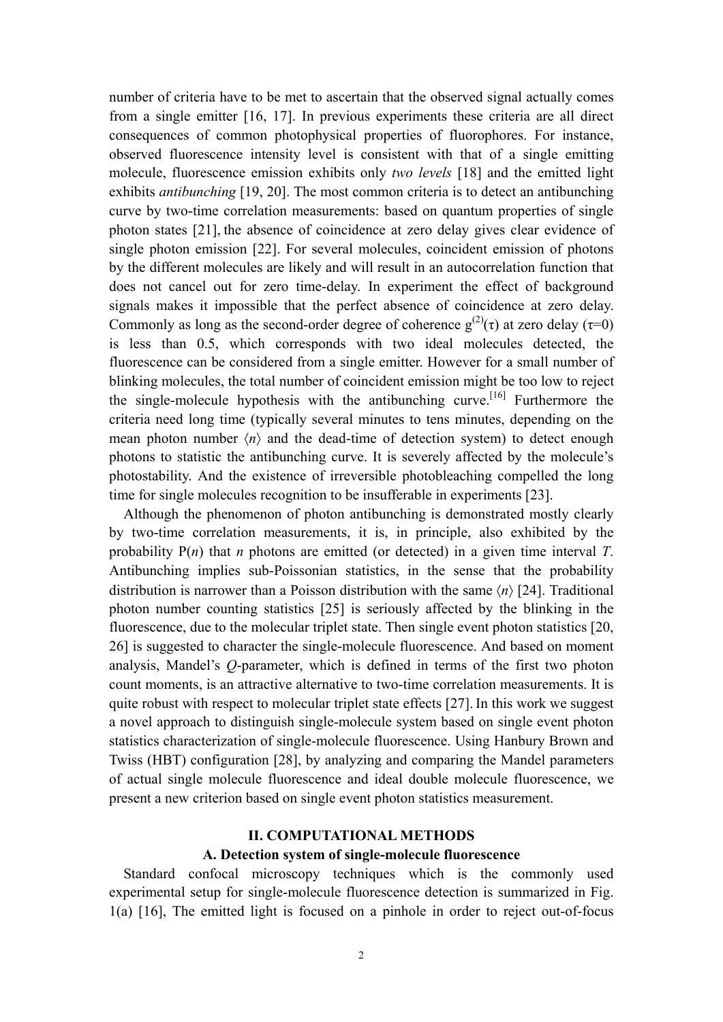number of criteria have to be met to ascertain that the observed signal actually comes from a single emitter [16, 17]. In previous experiments these criteria are all direct consequences of common photophysical properties of fluorophores. For instance, observed fluorescence intensity level is consistent with that of a single emitting molecule, fluorescence emission exhibits only *two levels* [18] and the emitted light exhibits *antibunching* [19, 20]. The most common criteria is to detect an antibunching curve by two-time correlation measurements: based on quantum properties of single photon states [21], the absence of coincidence at zero delay gives clear evidence of single photon emission [22]. For several molecules, coincident emission of photons by the different molecules are likely and will result in an autocorrelation function that does not cancel out for zero time-delay. In experiment the effect of background signals makes it impossible that the perfect absence of coincidence at zero delay. Commonly as long as the second-order degree of coherence  $g^{(2)}(\tau)$  at zero delay ( $\tau=0$ ) is less than 0.5, which corresponds with two ideal molecules detected, the fluorescence can be considered from a single emitter. However for a small number of blinking molecules, the total number of coincident emission might be too low to reject the single-molecule hypothesis with the antibunching curve.<sup>[16]</sup> Furthermore the criteria need long time (typically several minutes to tens minutes, depending on the mean photon number  $\langle n \rangle$  and the dead-time of detection system) to detect enough photons to statistic the antibunching curve. It is severely affected by the molecule's photostability. And the existence of irreversible photobleaching compelled the long time for single molecules recognition to be insufferable in experiments [23].

 Although the phenomenon of photon antibunching is demonstrated mostly clearly by two-time correlation measurements, it is, in principle, also exhibited by the probability P(*n*) that *n* photons are emitted (or detected) in a given time interval *T*. Antibunching implies sub-Poissonian statistics, in the sense that the probability distribution is narrower than a Poisson distribution with the same 〈*n*〉 [24]. Traditional photon number counting statistics [25] is seriously affected by the blinking in the fluorescence, due to the molecular triplet state. Then single event photon statistics [20, 26] is suggested to character the single-molecule fluorescence. And based on moment analysis, Mandel's *Q*-parameter, which is defined in terms of the first two photon count moments, is an attractive alternative to two-time correlation measurements. It is quite robust with respect to molecular triplet state effects [27]. In this work we suggest a novel approach to distinguish single-molecule system based on single event photon statistics characterization of single-molecule fluorescence. Using Hanbury Brown and Twiss (HBT) configuration [28], by analyzing and comparing the Mandel parameters of actual single molecule fluorescence and ideal double molecule fluorescence, we present a new criterion based on single event photon statistics measurement.

## **II. COMPUTATIONAL METHODS**

#### **A. Detection system of single-molecule fluorescence**

Standard confocal microscopy techniques which is the commonly used experimental setup for single-molecule fluorescence detection is summarized in Fig. 1(a) [16], The emitted light is focused on a pinhole in order to reject out-of-focus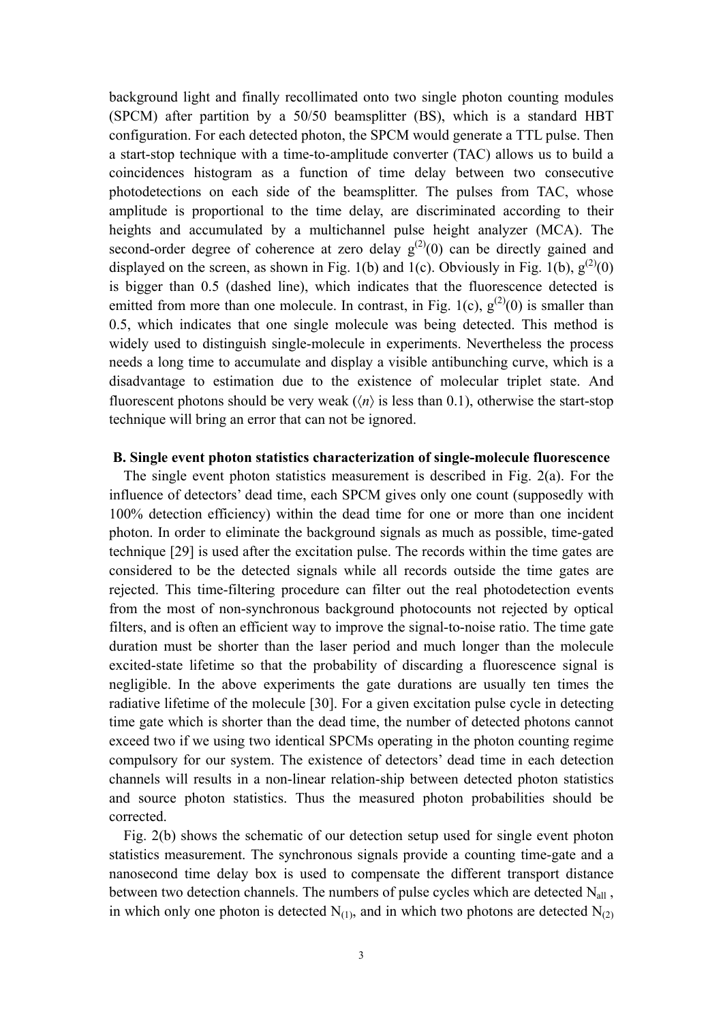background light and finally recollimated onto two single photon counting modules (SPCM) after partition by a 50/50 beamsplitter (BS), which is a standard HBT configuration. For each detected photon, the SPCM would generate a TTL pulse. Then a start-stop technique with a time-to-amplitude converter (TAC) allows us to build a coincidences histogram as a function of time delay between two consecutive photodetections on each side of the beamsplitter. The pulses from TAC, whose amplitude is proportional to the time delay, are discriminated according to their heights and accumulated by a multichannel pulse height analyzer (MCA). The second-order degree of coherence at zero delay  $g^{(2)}(0)$  can be directly gained and displayed on the screen, as shown in Fig. 1(b) and 1(c). Obviously in Fig. 1(b),  $g^{(2)}(0)$ is bigger than 0.5 (dashed line), which indicates that the fluorescence detected is emitted from more than one molecule. In contrast, in Fig. 1(c),  $g^{(2)}(0)$  is smaller than 0.5, which indicates that one single molecule was being detected. This method is widely used to distinguish single-molecule in experiments. Nevertheless the process needs a long time to accumulate and display a visible antibunching curve, which is a disadvantage to estimation due to the existence of molecular triplet state. And fluorescent photons should be very weak  $(\langle n \rangle)$  is less than 0.1), otherwise the start-stop technique will bring an error that can not be ignored.

### **B. Single event photon statistics characterization of single-molecule fluorescence**

The single event photon statistics measurement is described in Fig. 2(a). For the influence of detectors' dead time, each SPCM gives only one count (supposedly with 100% detection efficiency) within the dead time for one or more than one incident photon. In order to eliminate the background signals as much as possible, time-gated technique [29] is used after the excitation pulse. The records within the time gates are considered to be the detected signals while all records outside the time gates are rejected. This time-filtering procedure can filter out the real photodetection events from the most of non-synchronous background photocounts not rejected by optical filters, and is often an efficient way to improve the signal-to-noise ratio. The time gate duration must be shorter than the laser period and much longer than the molecule excited-state lifetime so that the probability of discarding a fluorescence signal is negligible. In the above experiments the gate durations are usually ten times the radiative lifetime of the molecule [30]. For a given excitation pulse cycle in detecting time gate which is shorter than the dead time, the number of detected photons cannot exceed two if we using two identical SPCMs operating in the photon counting regime compulsory for our system. The existence of detectors' dead time in each detection channels will results in a non-linear relation-ship between detected photon statistics and source photon statistics. Thus the measured photon probabilities should be corrected.

Fig. 2(b) shows the schematic of our detection setup used for single event photon statistics measurement. The synchronous signals provide a counting time-gate and a nanosecond time delay box is used to compensate the different transport distance between two detection channels. The numbers of pulse cycles which are detected N<sub>all</sub>, in which only one photon is detected  $N_{(1)}$ , and in which two photons are detected  $N_{(2)}$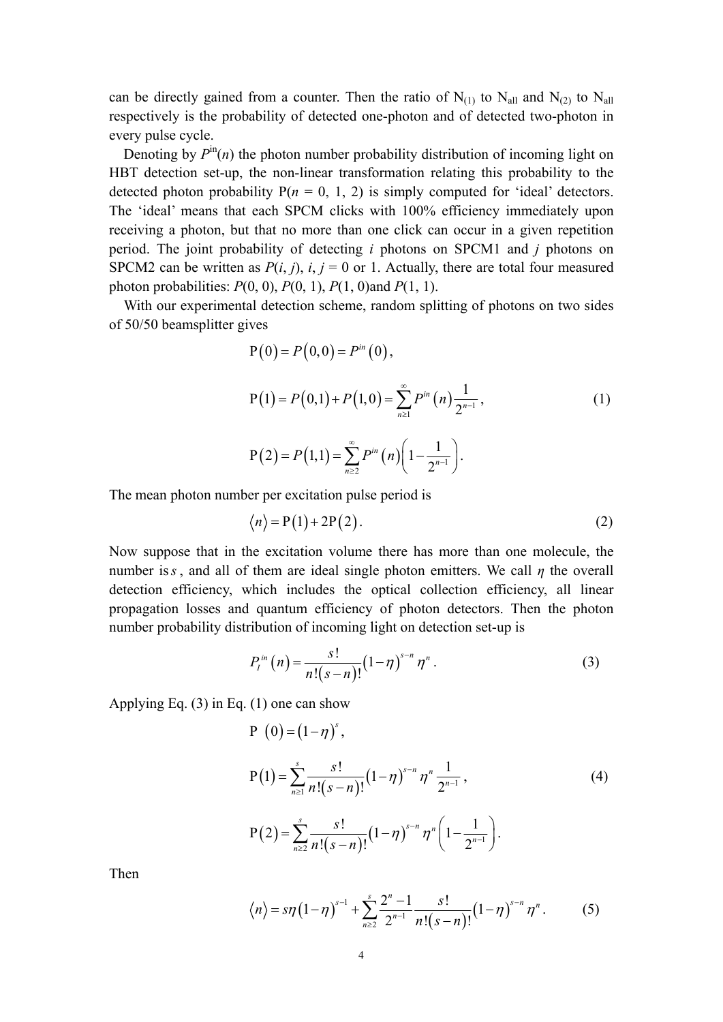can be directly gained from a counter. Then the ratio of  $N_{(1)}$  to  $N_{all}$  and  $N_{(2)}$  to  $N_{all}$ respectively is the probability of detected one-photon and of detected two-photon in every pulse cycle.

Denoting by  $P^{\text{in}}(n)$  the photon number probability distribution of incoming light on HBT detection set-up, the non-linear transformation relating this probability to the detected photon probability  $P(n = 0, 1, 2)$  is simply computed for 'ideal' detectors. The 'ideal' means that each SPCM clicks with 100% efficiency immediately upon receiving a photon, but that no more than one click can occur in a given repetition period. The joint probability of detecting *i* photons on SPCM1 and *j* photons on SPCM2 can be written as  $P(i, j)$ ,  $i, j = 0$  or 1. Actually, there are total four measured photon probabilities: *P*(0, 0), *P*(0, 1), *P*(1, 0)and *P*(1, 1).

 With our experimental detection scheme, random splitting of photons on two sides of 50/50 beamsplitter gives

$$
P(0) = P(0,0) = P^{in}(0),
$$
  
\n
$$
P(1) = P(0,1) + P(1,0) = \sum_{n\geq 1}^{\infty} P^{in}(n) \frac{1}{2^{n-1}},
$$
  
\n
$$
P(2) = P(1,1) = \sum_{n\geq 2}^{\infty} P^{in}(n) \left(1 - \frac{1}{2^{n-1}}\right).
$$
\n(1)

The mean photon number per excitation pulse period is

$$
\langle n \rangle = P(1) + 2P(2). \tag{2}
$$

Now suppose that in the excitation volume there has more than one molecule, the number is*s* , and all of them are ideal single photon emitters. We call *η* the overall detection efficiency, which includes the optical collection efficiency, all linear propagation losses and quantum efficiency of photon detectors. Then the photon number probability distribution of incoming light on detection set-up is

$$
P_{I}^{in}(n) = \frac{s!}{n!(s-n)!} (1-\eta)^{s-n} \eta^{n}.
$$
 (3)

Applying Eq.  $(3)$  in Eq.  $(1)$  one can show

$$
P(0) = (1 - \eta)^{s},
$$
  
\n
$$
P(1) = \sum_{n\geq 1}^{s} \frac{s!}{n!(s - n)!} (1 - \eta)^{s - n} \eta^{n} \frac{1}{2^{n - 1}},
$$
  
\n
$$
P(2) = \sum_{n\geq 2}^{s} \frac{s!}{n!(s - n)!} (1 - \eta)^{s - n} \eta^{n} \left(1 - \frac{1}{2^{n - 1}}\right).
$$
\n(4)

Then

$$
\langle n \rangle = s\eta \left(1 - \eta\right)^{s-1} + \sum_{n=2}^{s} \frac{2^n - 1}{2^{n-1}} \frac{s!}{n!(s-n)!} \left(1 - \eta\right)^{s-n} \eta^n. \tag{5}
$$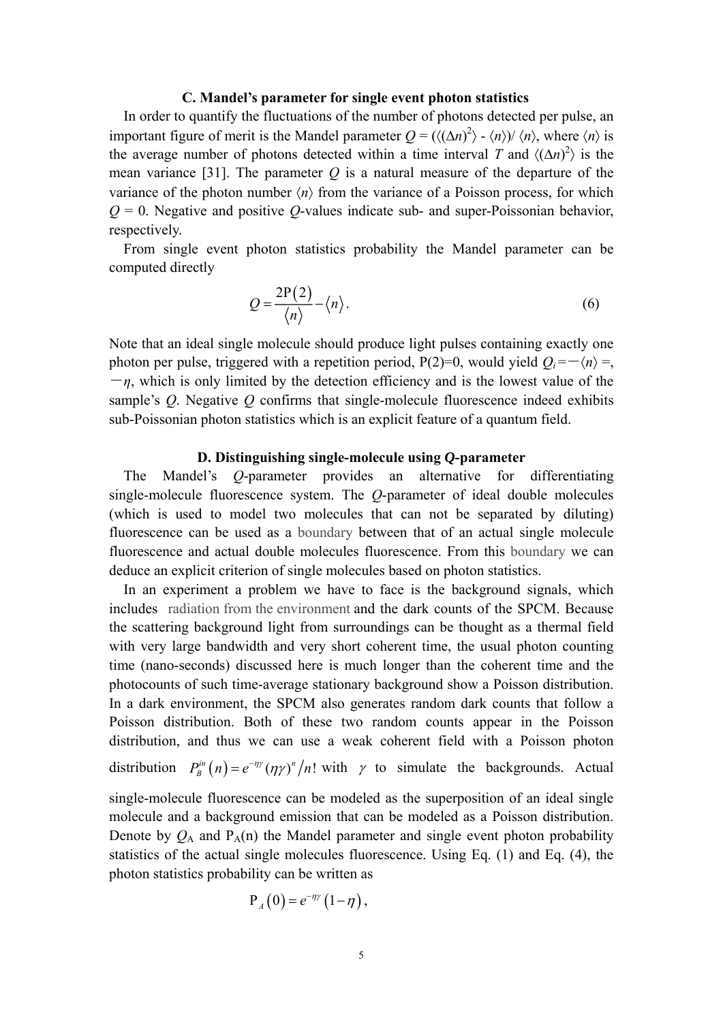#### **C. Mandel's parameter for single event photon statistics**

In order to quantify the fluctuations of the number of photons detected per pulse, an important figure of merit is the Mandel parameter  $Q = (\langle (\Delta n)^2 \rangle - \langle n \rangle)/\langle n \rangle$ , where  $\langle n \rangle$  is the average number of photons detected within a time interval *T* and  $\langle (\Delta n)^2 \rangle$  is the mean variance [31]. The parameter *Q* is a natural measure of the departure of the variance of the photon number  $\langle n \rangle$  from the variance of a Poisson process, for which  $Q = 0$ . Negative and positive *Q*-values indicate sub- and super-Poissonian behavior, respectively.

From single event photon statistics probability the Mandel parameter can be computed directly

$$
Q = \frac{2P(2)}{\langle n \rangle} - \langle n \rangle.
$$
 (6)

Note that an ideal single molecule should produce light pulses containing exactly one photon per pulse, triggered with a repetition period, P(2)=0, would yield  $Q_i = -\langle n \rangle =$ ,  $-\eta$ , which is only limited by the detection efficiency and is the lowest value of the sample's *Q*. Negative *Q* confirms that single-molecule fluorescence indeed exhibits sub-Poissonian photon statistics which is an explicit feature of a quantum field.

## **D. Distinguishing single-molecule using** *Q***-parameter**

The Mandel's *Q*-parameter provides an alternative for differentiating single-molecule fluorescence system. The *Q*-parameter of ideal double molecules (which is used to model two molecules that can not be separated by diluting) fluorescence can be used as a boundary between that of an actual single molecule fluorescence and actual double molecules fluorescence. From this boundary we can deduce an explicit criterion of single molecules based on photon statistics.

In an experiment a problem we have to face is the background signals, which includes radiation from the environment and the dark counts of the SPCM. Because the scattering background light from surroundings can be thought as a thermal field with very large bandwidth and very short coherent time, the usual photon counting time (nano-seconds) discussed here is much longer than the coherent time and the photocounts of such time-average stationary background show a Poisson distribution. In a dark environment, the SPCM also generates random dark counts that follow a Poisson distribution. Both of these two random counts appear in the Poisson distribution, and thus we can use a weak coherent field with a Poisson photon

distribution  $P_B^{in}(n) = e^{-\eta \gamma} (\eta \gamma)^n / n!$  with  $\gamma$  to simulate the backgrounds. Actual

single-molecule fluorescence can be modeled as the superposition of an ideal single molecule and a background emission that can be modeled as a Poisson distribution. Denote by  $Q_A$  and  $P_A(n)$  the Mandel parameter and single event photon probability statistics of the actual single molecules fluorescence. Using Eq. (1) and Eq. (4), the photon statistics probability can be written as

$$
P_{A}(0)=e^{-\eta\gamma}\left(1-\eta\right),
$$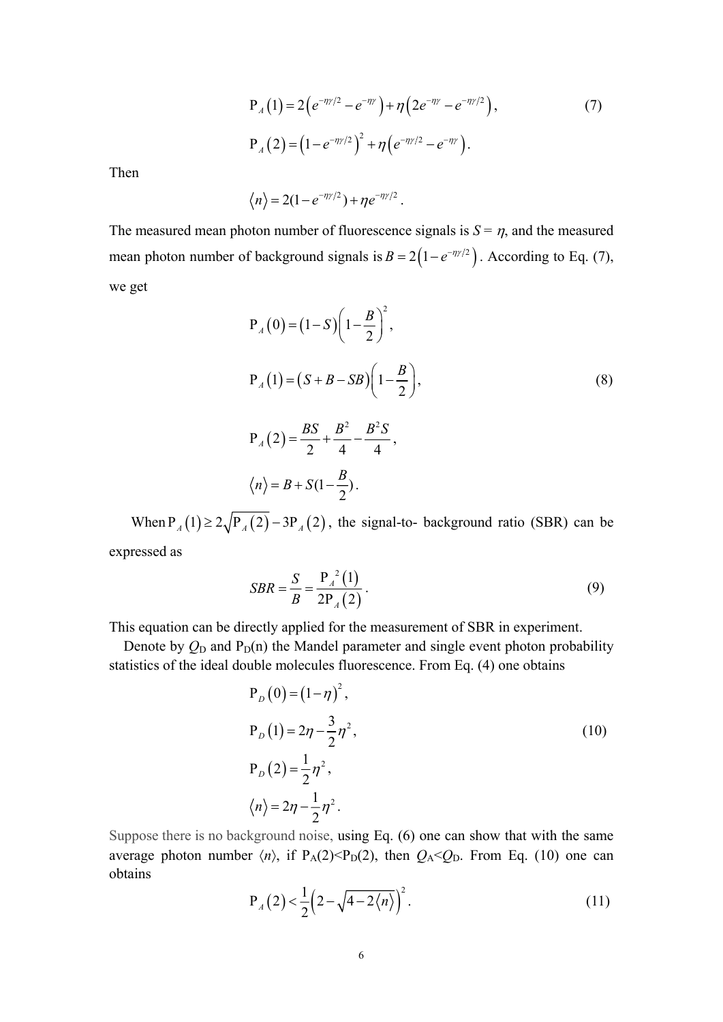$$
P_A(1) = 2(e^{-\eta\gamma/2} - e^{-\eta\gamma}) + \eta(2e^{-\eta\gamma} - e^{-\eta\gamma/2}),
$$
  
\n
$$
P_A(2) = (1 - e^{-\eta\gamma/2})^2 + \eta(e^{-\eta\gamma/2} - e^{-\eta\gamma}).
$$
\n(7)

Then

$$
\langle n \rangle = 2(1-e^{-n\gamma/2}) + \eta e^{-n\gamma/2}.
$$

The measured mean photon number of fluorescence signals is  $S = \eta$ , and the measured mean photon number of background signals is  $B = 2(1 - e^{-\eta y/2})$ . According to Eq. (7), we get

$$
P_A(0) = (1 - S) \left( 1 - \frac{B}{2} \right)^2,
$$
  
\n
$$
P_A(1) = (S + B - SB) \left( 1 - \frac{B}{2} \right),
$$
  
\n
$$
P_A(2) = \frac{BS}{2} + \frac{B^2}{2} - \frac{B^2 S}{2},
$$
\n(8)

$$
P_A(2) = \frac{B}{2} + \frac{B}{4} - \frac{B}{4},
$$

$$
\langle n \rangle = B + S(1 - \frac{B}{2}).
$$

When  $P_A(1) \ge 2\sqrt{P_A(2)} - 3P_A(2)$ , the signal-to- background ratio (SBR) can be expressed as

$$
SBR = \frac{S}{B} = \frac{P_A^2(1)}{2P_A(2)}.
$$
\n(9)

This equation can be directly applied for the measurement of SBR in experiment.

Denote by  $Q_D$  and  $P_D(n)$  the Mandel parameter and single event photon probability statistics of the ideal double molecules fluorescence. From Eq. (4) one obtains

$$
P_D(0) = (1 - \eta)^2,
$$
  
\n
$$
P_D(1) = 2\eta - \frac{3}{2}\eta^2,
$$
  
\n
$$
P_D(2) = \frac{1}{2}\eta^2,
$$
  
\n
$$
\langle n \rangle = 2\eta - \frac{1}{2}\eta^2.
$$
\n(10)

Suppose there is no background noise, using Eq. (6) one can show that with the same average photon number  $\langle n \rangle$ , if P<sub>A</sub>(2)<P<sub>D</sub>(2), then  $Q_A < Q_D$ . From Eq. (10) one can obtains

$$
P_A(2) < \frac{1}{2} \left( 2 - \sqrt{4 - 2\langle n \rangle} \right)^2.
$$
 (11)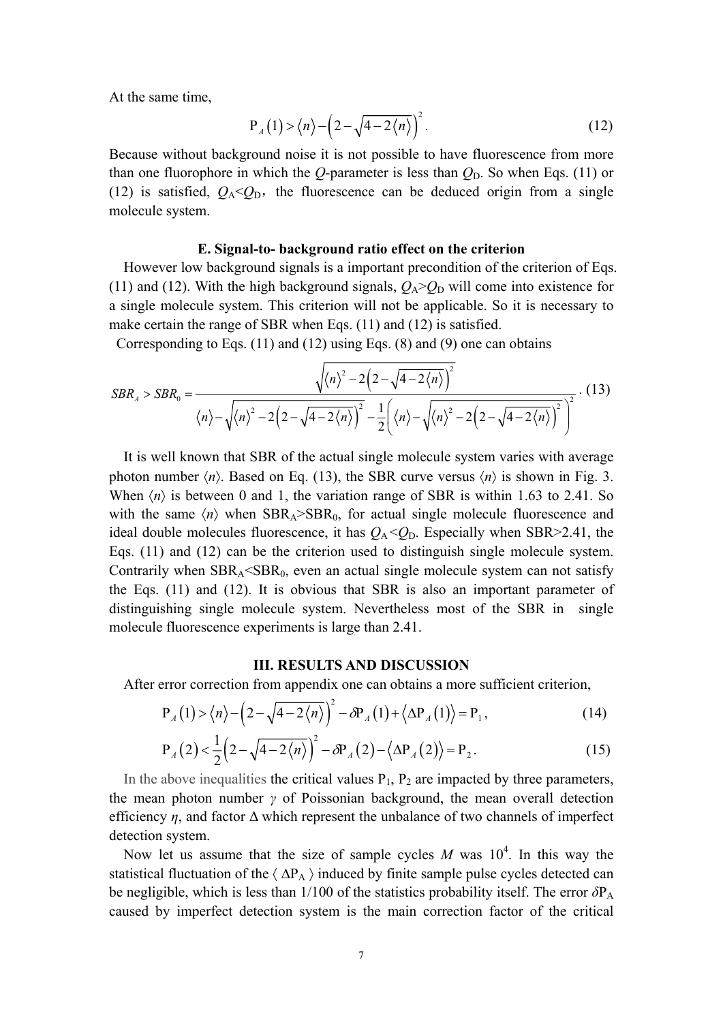At the same time,

$$
P_A(1) > \langle n \rangle - \left(2 - \sqrt{4 - 2\langle n \rangle}\right)^2. \tag{12}
$$

Because without background noise it is not possible to have fluorescence from more than one fluorophore in which the  $Q$ -parameter is less than  $Q<sub>D</sub>$ . So when Eqs. (11) or (12) is satisfied,  $Q_A < Q_D$ , the fluorescence can be deduced origin from a single molecule system.

### **E. Signal-to- background ratio effect on the criterion**

However low background signals is a important precondition of the criterion of Eqs. (11) and (12). With the high background signals,  $Q_A > Q_D$  will come into existence for a single molecule system. This criterion will not be applicable. So it is necessary to make certain the range of SBR when Eqs. (11) and (12) is satisfied.

Corresponding to Eqs. (11) and (12) using Eqs. (8) and (9) one can obtains

$$
SBR_A > SBR_0 = \frac{\sqrt{\langle n \rangle^2 - 2\left(2 - \sqrt{4 - 2\langle n \rangle}\right)^2}}{\langle n \rangle - \sqrt{\langle n \rangle^2 - 2\left(2 - \sqrt{4 - 2\langle n \rangle}\right)^2} - \frac{1}{2}\left(\langle n \rangle - \sqrt{\langle n \rangle^2 - 2\left(2 - \sqrt{4 - 2\langle n \rangle}\right)^2}\right)^2}.
$$
(13)

It is well known that SBR of the actual single molecule system varies with average photon number  $\langle n \rangle$ . Based on Eq. (13), the SBR curve versus  $\langle n \rangle$  is shown in Fig. 3. When  $\langle n \rangle$  is between 0 and 1, the variation range of SBR is within 1.63 to 2.41. So with the same  $\langle n \rangle$  when  $SBR<sub>A</sub> > SBR<sub>0</sub>$ , for actual single molecule fluorescence and ideal double molecules fluorescence, it has  $Q_A < Q_D$ . Especially when SBR>2.41, the Eqs. (11) and (12) can be the criterion used to distinguish single molecule system. Contrarily when  $SBR<sub>A</sub> < SBR<sub>0</sub>$ , even an actual single molecule system can not satisfy the Eqs. (11) and (12). It is obvious that SBR is also an important parameter of distinguishing single molecule system. Nevertheless most of the SBR in single molecule fluorescence experiments is large than 2.41.

#### **III. RESULTS AND DISCUSSION**

After error correction from appendix one can obtains a more sufficient criterion,

$$
P_A(1) > \langle n \rangle - \left(2 - \sqrt{4 - 2\langle n \rangle}\right)^2 - \partial P_A(1) + \langle \Delta P_A(1) \rangle = P_1,
$$
\n(14)

$$
P_A(2) < \frac{1}{2} \left(2 - \sqrt{4 - 2\langle n \rangle}\right)^2 - \delta P_A(2) - \langle \Delta P_A(2) \rangle = P_2.
$$
 (15)

In the above inequalities the critical values  $P_1$ ,  $P_2$  are impacted by three parameters, the mean photon number *γ* of Poissonian background, the mean overall detection efficiency  $\eta$ , and factor  $\Delta$  which represent the unbalance of two channels of imperfect detection system.

Now let us assume that the size of sample cycles M was  $10^4$ . In this way the statistical fluctuation of the  $\langle \Delta P_A \rangle$  induced by finite sample pulse cycles detected can be negligible, which is less than 1/100 of the statistics probability itself. The error  $δP<sub>A</sub>$ caused by imperfect detection system is the main correction factor of the critical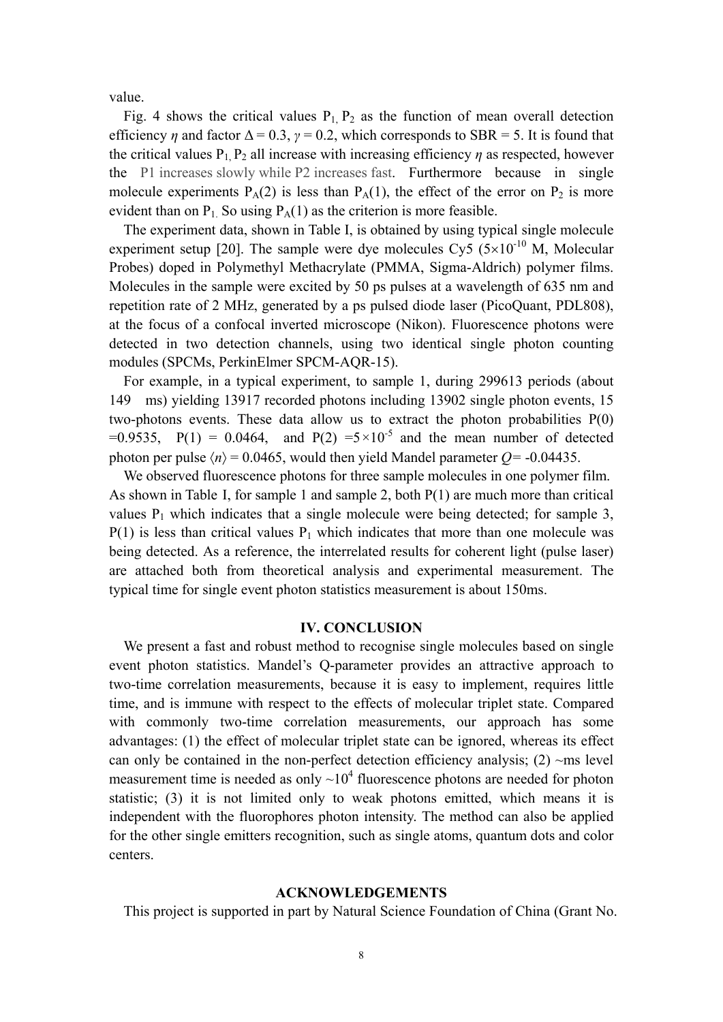value.

Fig. 4 shows the critical values  $P_1$ ,  $P_2$  as the function of mean overall detection efficiency  $\eta$  and factor  $\Delta = 0.3$ ,  $\gamma = 0.2$ , which corresponds to SBR = 5. It is found that the critical values  $P_1$ ,  $P_2$  all increase with increasing efficiency  $\eta$  as respected, however the P1 increases slowly while P2 increases fast. Furthermore because in single molecule experiments  $P_A(2)$  is less than  $P_A(1)$ , the effect of the error on  $P_2$  is more evident than on  $P_1$ . So using  $P_A(1)$  as the criterion is more feasible.

The experiment data, shown in Table I, is obtained by using typical single molecule experiment setup [20]. The sample were dye molecules Cy5 ( $5\times10^{-10}$  M, Molecular Probes) doped in Polymethyl Methacrylate (PMMA, Sigma-Aldrich) polymer films. Molecules in the sample were excited by 50 ps pulses at a wavelength of 635 nm and repetition rate of 2 MHz, generated by a ps pulsed diode laser (PicoQuant, PDL808), at the focus of a confocal inverted microscope (Nikon). Fluorescence photons were detected in two detection channels, using two identical single photon counting modules (SPCMs, PerkinElmer SPCM-AQR-15).

For example, in a typical experiment, to sample 1, during 299613 periods (about 149 ms) yielding 13917 recorded photons including 13902 single photon events, 15 two-photons events. These data allow us to extract the photon probabilities P(0)  $=0.9535$ ,  $P(1) = 0.0464$ , and  $P(2) = 5 \times 10^{-5}$  and the mean number of detected photon per pulse  $\langle n \rangle$  = 0.0465, would then yield Mandel parameter *Q*= -0.04435.

We observed fluorescence photons for three sample molecules in one polymer film. As shown in Table I, for sample 1 and sample 2, both P(1) are much more than critical values  $P_1$  which indicates that a single molecule were being detected; for sample 3,  $P(1)$  is less than critical values  $P_1$  which indicates that more than one molecule was being detected. As a reference, the interrelated results for coherent light (pulse laser) are attached both from theoretical analysis and experimental measurement. The typical time for single event photon statistics measurement is about 150ms.

#### **IV. CONCLUSION**

We present a fast and robust method to recognise single molecules based on single event photon statistics. Mandel's Q-parameter provides an attractive approach to two-time correlation measurements, because it is easy to implement, requires little time, and is immune with respect to the effects of molecular triplet state. Compared with commonly two-time correlation measurements, our approach has some advantages: (1) the effect of molecular triplet state can be ignored, whereas its effect can only be contained in the non-perfect detection efficiency analysis;  $(2)$  ~ms level measurement time is needed as only  $\sim 10^4$  fluorescence photons are needed for photon statistic; (3) it is not limited only to weak photons emitted, which means it is independent with the fluorophores photon intensity. The method can also be applied for the other single emitters recognition, such as single atoms, quantum dots and color centers.

### **ACKNOWLEDGEMENTS**

This project is supported in part by Natural Science Foundation of China (Grant No.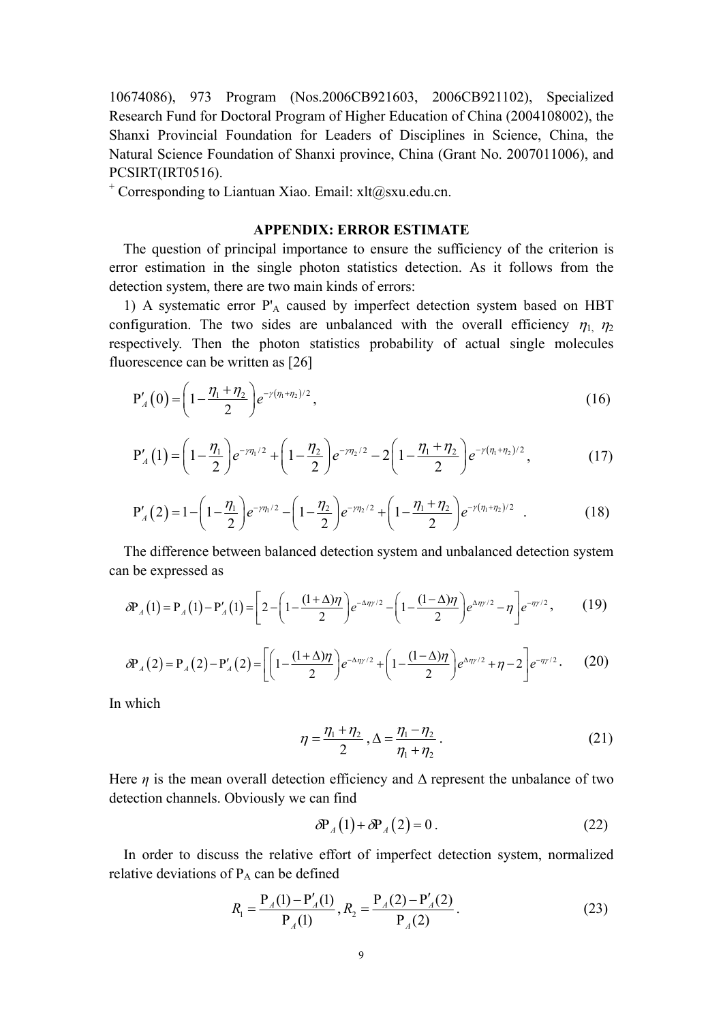10674086), 973 Program (Nos.2006CB921603, 2006CB921102), Specialized Research Fund for Doctoral Program of Higher Education of China (2004108002), the Shanxi Provincial Foundation for Leaders of Disciplines in Science, China, the Natural Science Foundation of Shanxi province, China (Grant No. 2007011006), and PCSIRT(IRT0516).

+ Corresponding to Liantuan Xiao. Email: xlt@sxu.edu.cn.

## **APPENDIX: ERROR ESTIMATE**

The question of principal importance to ensure the sufficiency of the criterion is error estimation in the single photon statistics detection. As it follows from the detection system, there are two main kinds of errors:

1) A systematic error P'<sub>A</sub> caused by imperfect detection system based on HBT configuration. The two sides are unbalanced with the overall efficiency  $\eta_1$ ,  $\eta_2$ respectively. Then the photon statistics probability of actual single molecules fluorescence can be written as [26]

$$
P'_{A}(0) = \left(1 - \frac{\eta_1 + \eta_2}{2}\right) e^{-\gamma(\eta_1 + \eta_2)/2},\tag{16}
$$

$$
P'_{A}(1) = \left(1 - \frac{\eta_1}{2}\right) e^{-\eta_1/2} + \left(1 - \frac{\eta_2}{2}\right) e^{-\eta_2/2} - 2\left(1 - \frac{\eta_1 + \eta_2}{2}\right) e^{-\gamma(\eta_1 + \eta_2)/2},\tag{17}
$$

$$
P'_{A}(2) = 1 - \left(1 - \frac{\eta_1}{2}\right) e^{-\gamma \eta_1/2} - \left(1 - \frac{\eta_2}{2}\right) e^{-\gamma \eta_2/2} + \left(1 - \frac{\eta_1 + \eta_2}{2}\right) e^{-\gamma (\eta_1 + \eta_2)/2} \quad . \tag{18}
$$

The difference between balanced detection system and unbalanced detection system can be expressed as

$$
\delta P_A(1) = P_A(1) - P'_A(1) = \left[ 2 - \left( 1 - \frac{(1+\Delta)\eta}{2} \right) e^{-\Delta \eta / 2} - \left( 1 - \frac{(1-\Delta)\eta}{2} \right) e^{\Delta \eta / 2} - \eta \right] e^{-\eta / 2}, \quad (19)
$$

$$
\delta P_A(2) = P_A(2) - P'_A(2) = \left[ \left( 1 - \frac{(1+\Delta)\eta}{2} \right) e^{-\Delta \eta y/2} + \left( 1 - \frac{(1-\Delta)\eta}{2} \right) e^{\Delta \eta y/2} + \eta - 2 \right] e^{-\eta y/2}.
$$
 (20)

In which

$$
\eta = \frac{\eta_1 + \eta_2}{2}, \Delta = \frac{\eta_1 - \eta_2}{\eta_1 + \eta_2}.
$$
\n(21)

Here  $\eta$  is the mean overall detection efficiency and  $\Delta$  represent the unbalance of two detection channels. Obviously we can find

$$
\delta P_A(1) + \delta P_A(2) = 0. \tag{22}
$$

In order to discuss the relative effort of imperfect detection system, normalized relative deviations of  $P_A$  can be defined

$$
R_1 = \frac{P_A(1) - P'_A(1)}{P_A(1)}, R_2 = \frac{P_A(2) - P'_A(2)}{P_A(2)}.
$$
\n(23)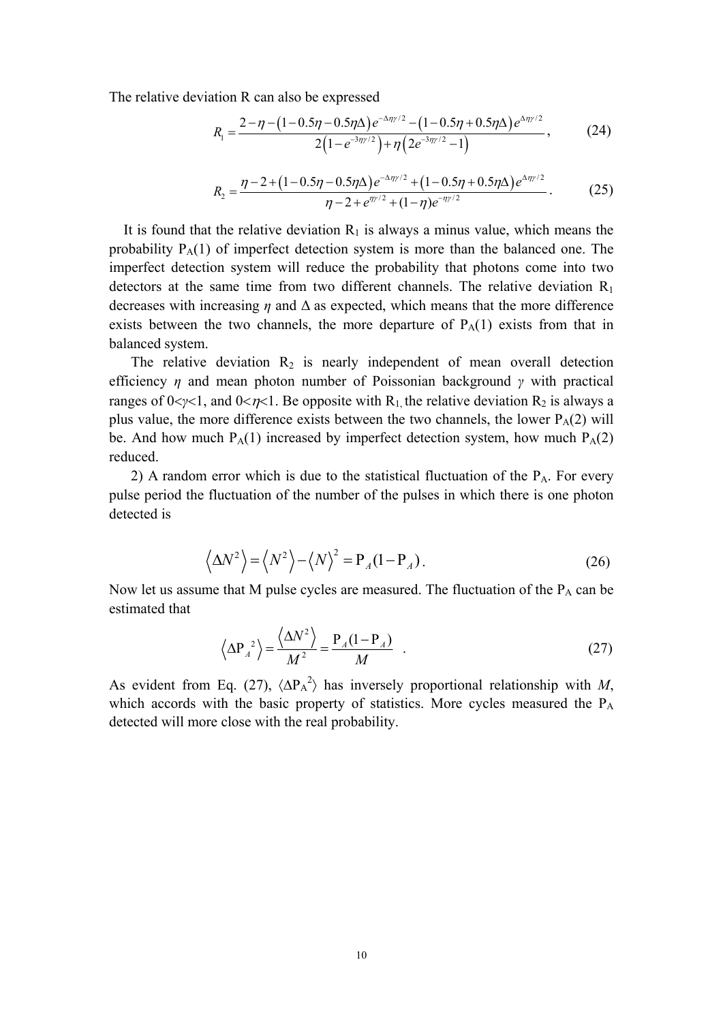The relative deviation R can also be expressed

$$
R_{1} = \frac{2 - \eta - (1 - 0.5\eta - 0.5\eta\Delta)e^{-\Delta\eta y/2} - (1 - 0.5\eta + 0.5\eta\Delta)e^{\Delta\eta y/2}}{2(1 - e^{-3\eta y/2}) + \eta(2e^{-3\eta y/2} - 1)},
$$
(24)

$$
R_2 = \frac{\eta - 2 + (1 - 0.5\eta - 0.5\eta\Delta)e^{-\Delta\eta y/2} + (1 - 0.5\eta + 0.5\eta\Delta)e^{\Delta\eta y/2}}{\eta - 2 + e^{\eta y/2} + (1 - \eta)e^{-\eta y/2}}.
$$
 (25)

It is found that the relative deviation  $R_1$  is always a minus value, which means the probability  $P_A(1)$  of imperfect detection system is more than the balanced one. The imperfect detection system will reduce the probability that photons come into two detectors at the same time from two different channels. The relative deviation  $R_1$ decreases with increasing *η* and Δ as expected, which means that the more difference exists between the two channels, the more departure of  $P_A(1)$  exists from that in balanced system.

The relative deviation  $R_2$  is nearly independent of mean overall detection efficiency *η* and mean photon number of Poissonian background *γ* with practical ranges of  $0 < \gamma < 1$ , and  $0 < \eta < 1$ . Be opposite with R<sub>1</sub>, the relative deviation R<sub>2</sub> is always a plus value, the more difference exists between the two channels, the lower  $P_A(2)$  will be. And how much  $P_A(1)$  increased by imperfect detection system, how much  $P_A(2)$ reduced.

2) A random error which is due to the statistical fluctuation of the  $P_A$ . For every pulse period the fluctuation of the number of the pulses in which there is one photon detected is

$$
\left\langle \Delta N^2 \right\rangle = \left\langle N^2 \right\rangle - \left\langle N \right\rangle^2 = P_A (1 - P_A). \tag{26}
$$

Now let us assume that M pulse cycles are measured. The fluctuation of the  $P_A$  can be estimated that

$$
\left\langle \Delta P_A^2 \right\rangle = \frac{\left\langle \Delta N^2 \right\rangle}{M^2} = \frac{P_A (1 - P_A)}{M} \quad . \tag{27}
$$

As evident from Eq. (27),  $\langle \Delta P_A^2 \rangle$  has inversely proportional relationship with *M*, which accords with the basic property of statistics. More cycles measured the P<sub>A</sub> detected will more close with the real probability.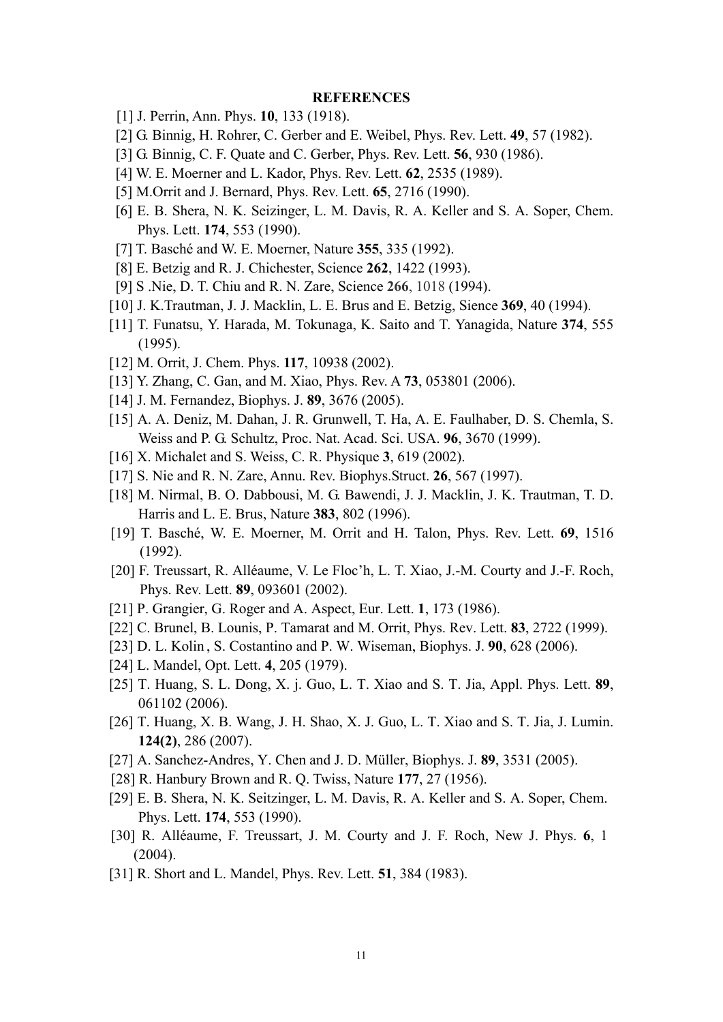#### **REFERENCES**

- [1] J. Perrin, Ann. Phys. **10**, 133 (1918).
- [2] G. Binnig, H. Rohrer, C. Gerber and E. Weibel, Phys. Rev. Lett. **49**, 57 (1982).
- [3] G. Binnig, C. F. Quate and C. Gerber, Phys. Rev. Lett. **56**, 930 (1986).
- [4] W. E. Moerner and L. Kador, Phys. Rev. Lett. **62**, 2535 (1989).
- [5] M.Orrit and J. Bernard, Phys. Rev. Lett. **65**, 2716 (1990).
- [6] E. B. Shera, N. K. Seizinger, L. M. Davis, R. A. Keller and S. A. Soper, Chem. Phys. Lett. **174**, 553 (1990).
- [7] T. Basché and W. E. Moerner, Nature **355**, 335 (1992).
- [8] E. Betzig and R. J. Chichester, Science **262**, 1422 (1993).
- [9] S .Nie, D. T. Chiu and R. N. Zare, Science **266**, 1018 (1994).
- [10] J. K.Trautman, J. J. Macklin, L. E. Brus and E. Betzig, Sience **369**, 40 (1994).
- [11] T. Funatsu, Y. Harada, M. Tokunaga, K. Saito and T. Yanagida, Nature **374**, 555 (1995).
- [12] M. Orrit, J. Chem. Phys. **117**, 10938 (2002).
- [13] Y. Zhang, C. Gan, and M. Xiao, Phys. Rev. A **73**, 053801 (2006).
- [14] J. M. Fernandez, Biophys. J. **89**, 3676 (2005).
- [15] A. A. Deniz, M. Dahan, J. R. Grunwell, T. Ha, A. E. Faulhaber, D. S. Chemla, S. Weiss and P. G. Schultz, Proc. Nat. Acad. Sci. USA. **96**, 3670 (1999).
- [16] X. Michalet and S. Weiss, C. R. Physique **3**, 619 (2002).
- [17] S. Nie and R. N. Zare, Annu. Rev. Biophys.Struct. **26**, 567 (1997).
- [18] M. Nirmal, B. O. Dabbousi, M. G. Bawendi, J. J. Macklin, J. K. Trautman, T. D. Harris and L. E. Brus, Nature **383**, 802 (1996).
- [19] T. Basché, W. E. Moerner, M. Orrit and H. Talon, Phys. Rev. Lett. **69**, 1516 (1992).
- [20] F. Treussart, R. Alléaume, V. Le Floc'h, L. T. Xiao, J.-M. Courty and J.-F. Roch, Phys. Rev. Lett. **89**, 093601 (2002).
- [21] P. Grangier, G. Roger and A. Aspect, Eur. Lett. **1**, 173 (1986).
- [22] C. Brunel, B. Lounis, P. Tamarat and M. Orrit, Phys. Rev. Lett. **83**, 2722 (1999).
- [23] D. L. Kolin , S. Costantino and P. W. Wiseman, Biophys. J. **90**, 628 (2006).
- [24] L. Mandel, Opt. Lett. **4**, 205 (1979).
- [25] T. Huang, S. L. Dong, X. j. Guo, L. T. Xiao and S. T. Jia, Appl. Phys. Lett. **89**, 061102 (2006).
- [26] T. Huang, X. B. Wang, J. H. Shao, X. J. Guo, L. T. Xiao and S. T. Jia, J. Lumin. **124(2)**, 286 (2007).
- [27] A. Sanchez-Andres, Y. Chen and J. D. Müller, Biophys. J. **89**, 3531 (2005).
- [28] R. Hanbury Brown and R. Q. Twiss, Nature **177**, 27 (1956).
- [29] E. B. Shera, N. K. Seitzinger, L. M. Davis, R. A. Keller and S. A. Soper, Chem. Phys. Lett. **174**, 553 (1990).
- [30] R. Alléaume, F. Treussart, J. M. Courty and J. F. Roch, New J. Phys. **6**, 1 (2004).
- [31] R. Short and L. Mandel, Phys. Rev. Lett. **51**, 384 (1983).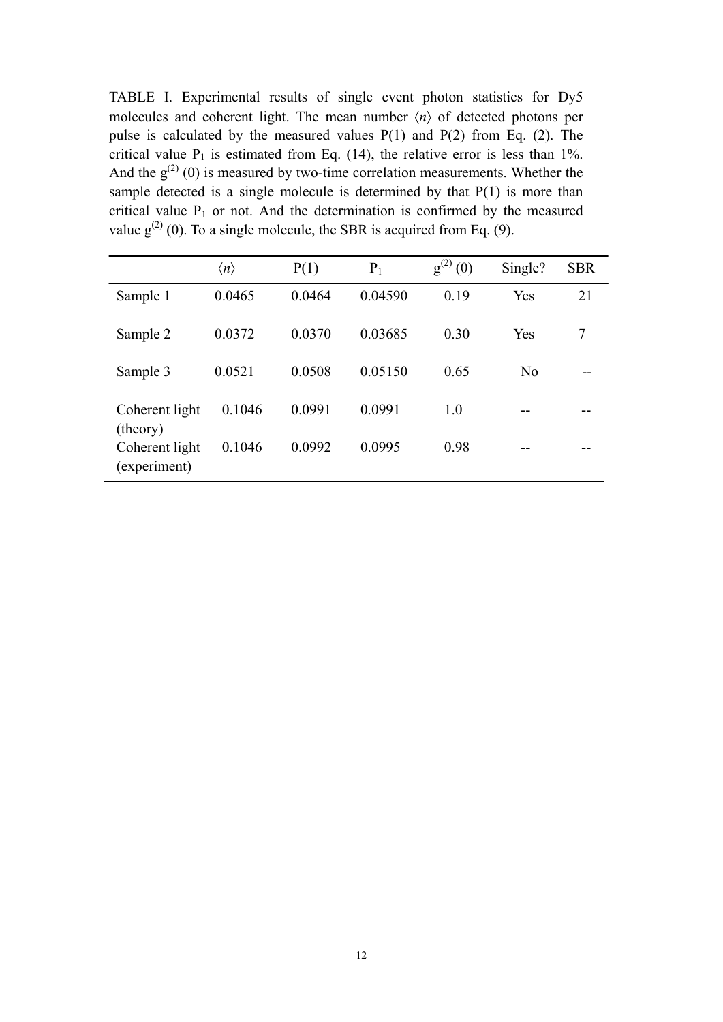TABLE I. Experimental results of single event photon statistics for Dy5 molecules and coherent light. The mean number  $\langle n \rangle$  of detected photons per pulse is calculated by the measured values  $P(1)$  and  $P(2)$  from Eq. (2). The critical value  $P_1$  is estimated from Eq. (14), the relative error is less than 1%. And the  $g^{(2)}(0)$  is measured by two-time correlation measurements. Whether the sample detected is a single molecule is determined by that P(1) is more than critical value  $P_1$  or not. And the determination is confirmed by the measured value  $g^{(2)}(0)$ . To a single molecule, the SBR is acquired from Eq. (9).

|                                | $\langle n \rangle$ | P(1)   | $P_1$   | $g^{(2)}$<br>(0) | Single?        | <b>SBR</b> |
|--------------------------------|---------------------|--------|---------|------------------|----------------|------------|
| Sample 1                       | 0.0465              | 0.0464 | 0.04590 | 0.19             | Yes            | 21         |
| Sample 2                       | 0.0372              | 0.0370 | 0.03685 | 0.30             | Yes            | 7          |
| Sample 3                       | 0.0521              | 0.0508 | 0.05150 | 0.65             | N <sub>o</sub> |            |
| Coherent light<br>(theory)     | 0.1046              | 0.0991 | 0.0991  | 1.0              |                |            |
| Coherent light<br>(experiment) | 0.1046              | 0.0992 | 0.0995  | 0.98             |                |            |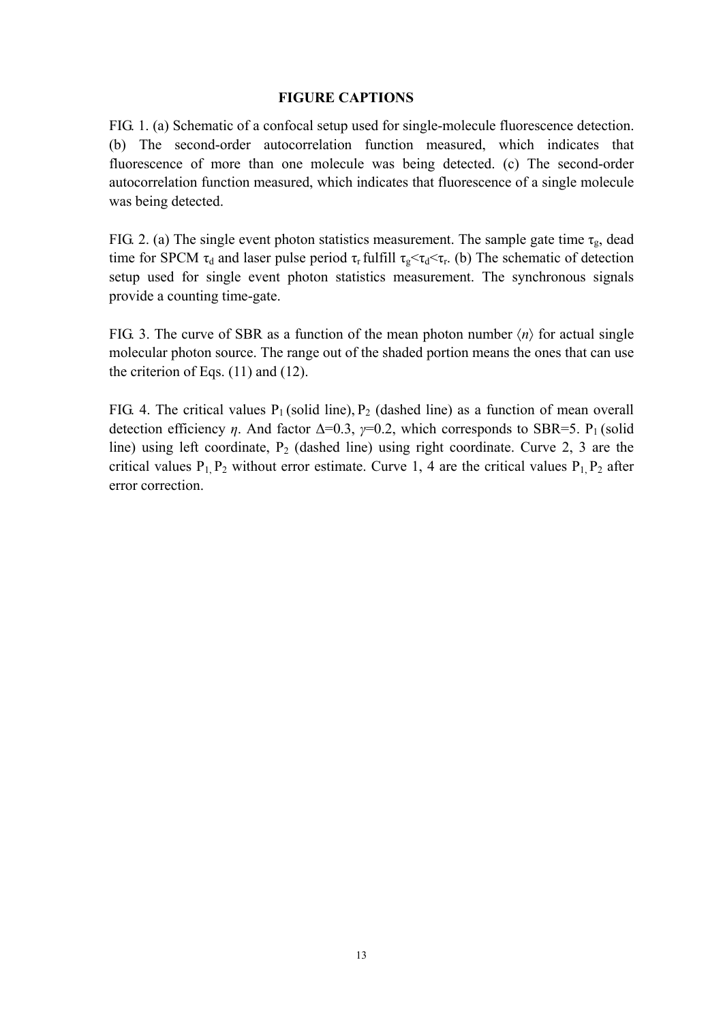# **FIGURE CAPTIONS**

FIG. 1. (a) Schematic of a confocal setup used for single-molecule fluorescence detection. (b) The second-order autocorrelation function measured, which indicates that fluorescence of more than one molecule was being detected. (c) The second-order autocorrelation function measured, which indicates that fluorescence of a single molecule was being detected.

FIG. 2. (a) The single event photon statistics measurement. The sample gate time  $\tau_{g}$ , dead time for SPCM  $\tau_d$  and laser pulse period  $\tau_r$  fulfill  $\tau_g \leq \tau_d \leq \tau_r$ . (b) The schematic of detection setup used for single event photon statistics measurement. The synchronous signals provide a counting time-gate.

FIG. 3. The curve of SBR as a function of the mean photon number  $\langle n \rangle$  for actual single molecular photon source. The range out of the shaded portion means the ones that can use the criterion of Eqs. (11) and (12).

FIG. 4. The critical values  $P_1$  (solid line),  $P_2$  (dashed line) as a function of mean overall detection efficiency *η*. And factor  $\Delta=0.3$ , *γ*=0.2, which corresponds to SBR=5. P<sub>1</sub> (solid line) using left coordinate,  $P_2$  (dashed line) using right coordinate. Curve 2, 3 are the critical values  $P_1$ ,  $P_2$  without error estimate. Curve 1, 4 are the critical values  $P_1$ ,  $P_2$  after error correction.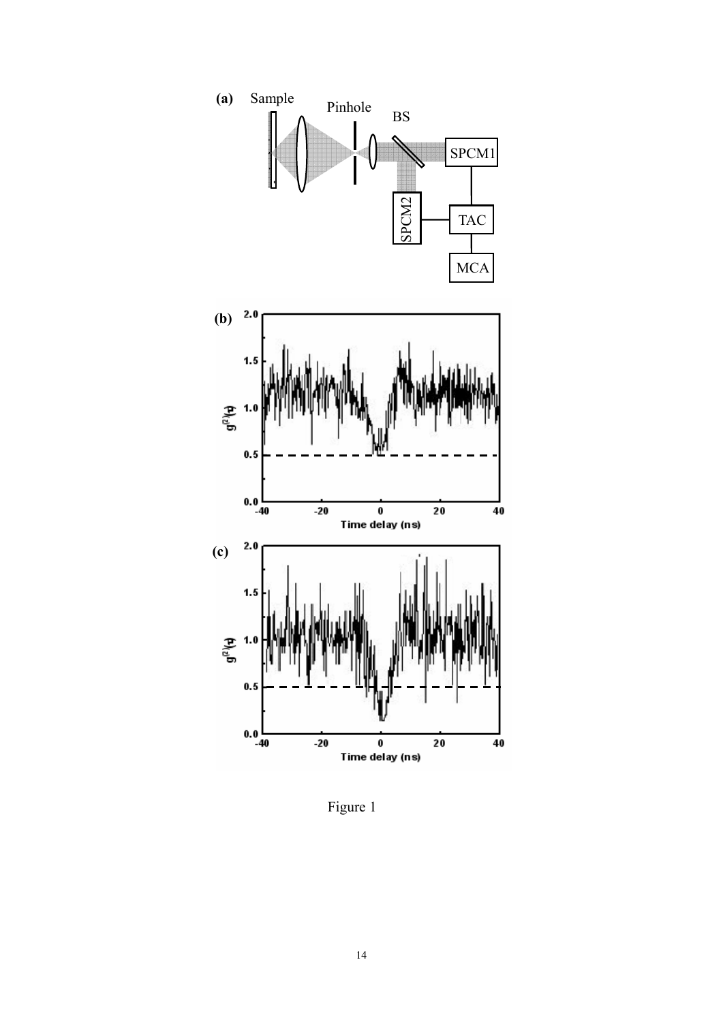

Figure 1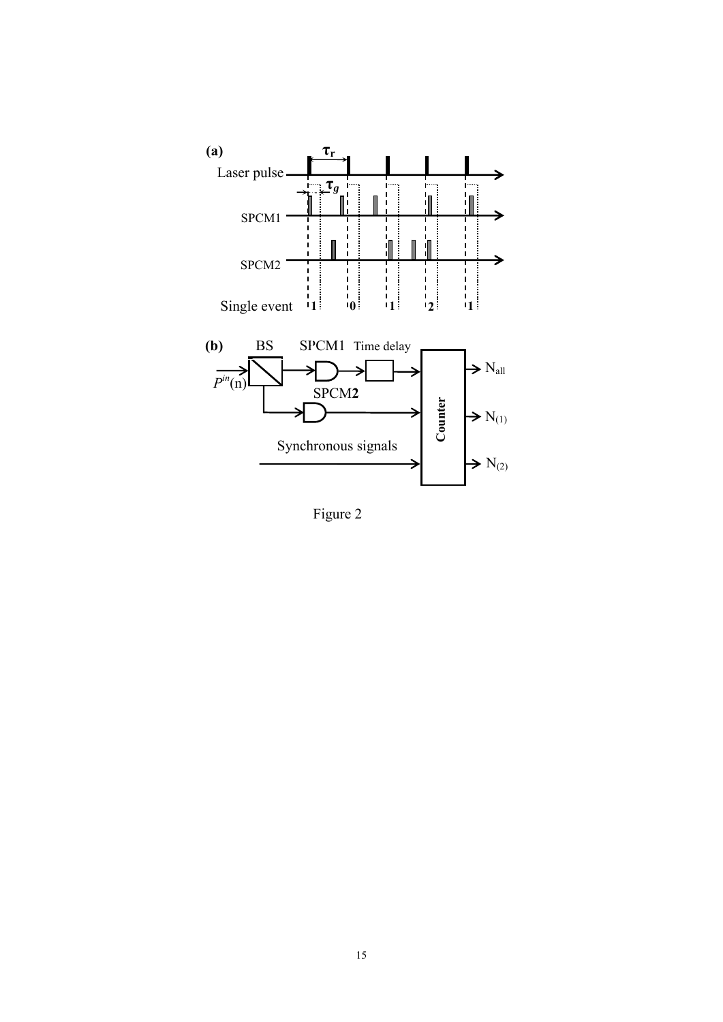

Figure 2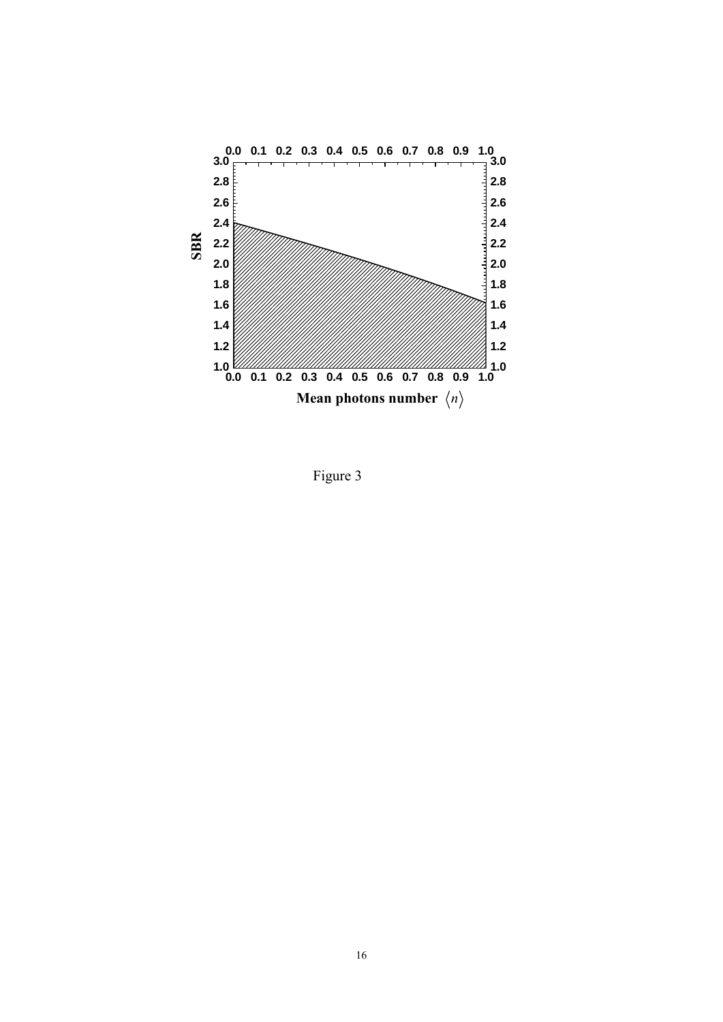

Figure 3